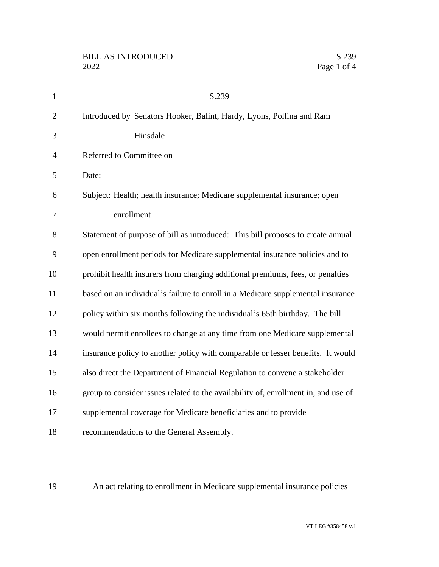| $\mathbf{1}$   | S.239                                                                              |
|----------------|------------------------------------------------------------------------------------|
| $\overline{2}$ | Introduced by Senators Hooker, Balint, Hardy, Lyons, Pollina and Ram               |
| 3              | Hinsdale                                                                           |
| $\overline{4}$ | Referred to Committee on                                                           |
| 5              | Date:                                                                              |
| 6              | Subject: Health; health insurance; Medicare supplemental insurance; open           |
| 7              | enrollment                                                                         |
| 8              | Statement of purpose of bill as introduced: This bill proposes to create annual    |
| 9              | open enrollment periods for Medicare supplemental insurance policies and to        |
| 10             | prohibit health insurers from charging additional premiums, fees, or penalties     |
| 11             | based on an individual's failure to enroll in a Medicare supplemental insurance    |
| 12             | policy within six months following the individual's 65th birthday. The bill        |
| 13             | would permit enrollees to change at any time from one Medicare supplemental        |
| 14             | insurance policy to another policy with comparable or lesser benefits. It would    |
| 15             | also direct the Department of Financial Regulation to convene a stakeholder        |
| 16             | group to consider issues related to the availability of, enrollment in, and use of |
| 17             | supplemental coverage for Medicare beneficiaries and to provide                    |
| 18             | recommendations to the General Assembly.                                           |

An act relating to enrollment in Medicare supplemental insurance policies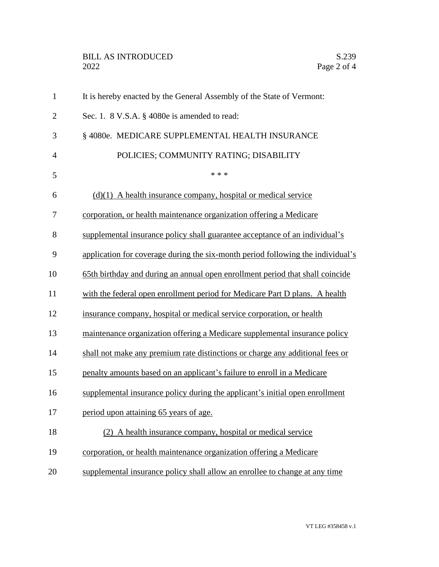## BILL AS INTRODUCED<br>2022 Page 2 of 4

| $\mathbf{1}$   | It is hereby enacted by the General Assembly of the State of Vermont:           |
|----------------|---------------------------------------------------------------------------------|
| $\overline{c}$ | Sec. 1. 8 V.S.A. § 4080e is amended to read:                                    |
| 3              | § 4080e. MEDICARE SUPPLEMENTAL HEALTH INSURANCE                                 |
| $\overline{4}$ | POLICIES; COMMUNITY RATING; DISABILITY                                          |
| 5              | * * *                                                                           |
| 6              | $(d)(1)$ A health insurance company, hospital or medical service                |
| 7              | corporation, or health maintenance organization offering a Medicare             |
| 8              | supplemental insurance policy shall guarantee acceptance of an individual's     |
| 9              | application for coverage during the six-month period following the individual's |
| 10             | 65th birthday and during an annual open enrollment period that shall coincide   |
| 11             | with the federal open enrollment period for Medicare Part D plans. A health     |
| 12             | insurance company, hospital or medical service corporation, or health           |
| 13             | maintenance organization offering a Medicare supplemental insurance policy      |
| 14             | shall not make any premium rate distinctions or charge any additional fees or   |
| 15             | penalty amounts based on an applicant's failure to enroll in a Medicare         |
| 16             | supplemental insurance policy during the applicant's initial open enrollment    |
| 17             | period upon attaining 65 years of age.                                          |
| 18             | (2) A health insurance company, hospital or medical service                     |
| 19             | corporation, or health maintenance organization offering a Medicare             |
| 20             | supplemental insurance policy shall allow an enrollee to change at any time     |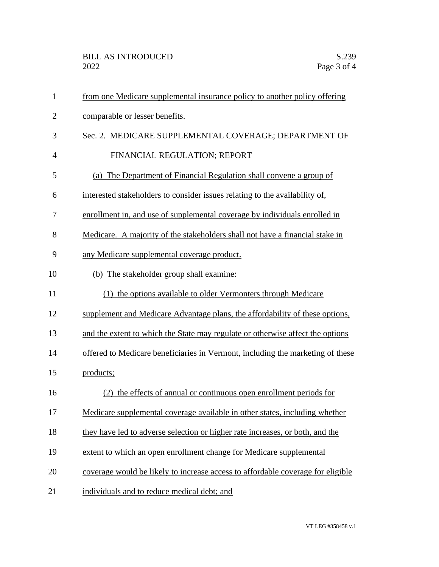| $\mathbf{1}$   | from one Medicare supplemental insurance policy to another policy offering      |
|----------------|---------------------------------------------------------------------------------|
| $\overline{2}$ | comparable or lesser benefits.                                                  |
| 3              | Sec. 2. MEDICARE SUPPLEMENTAL COVERAGE; DEPARTMENT OF                           |
| 4              | FINANCIAL REGULATION; REPORT                                                    |
| 5              | The Department of Financial Regulation shall convene a group of<br>(a)          |
| 6              | interested stakeholders to consider issues relating to the availability of,     |
| 7              | enrollment in, and use of supplemental coverage by individuals enrolled in      |
| 8              | Medicare. A majority of the stakeholders shall not have a financial stake in    |
| 9              | any Medicare supplemental coverage product.                                     |
| 10             | (b) The stakeholder group shall examine:                                        |
| 11             | (1) the options available to older Vermonters through Medicare                  |
| 12             | supplement and Medicare Advantage plans, the affordability of these options,    |
| 13             | and the extent to which the State may regulate or otherwise affect the options  |
| 14             | offered to Medicare beneficiaries in Vermont, including the marketing of these  |
| 15             | products;                                                                       |
| 16             | (2) the effects of annual or continuous open enrollment periods for             |
| 17             | Medicare supplemental coverage available in other states, including whether     |
| 18             | they have led to adverse selection or higher rate increases, or both, and the   |
| 19             | extent to which an open enrollment change for Medicare supplemental             |
| 20             | coverage would be likely to increase access to affordable coverage for eligible |
| 21             | individuals and to reduce medical debt; and                                     |